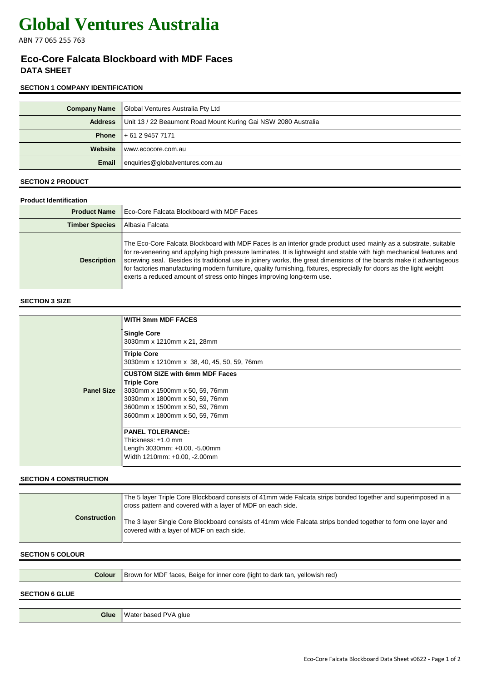# **Global Ventures Australia**

ABN 77 065 255 763

# **Eco-Core Falcata Blockboard with MDF Faces DATA SHEET**

### **SECTION 1 COMPANY IDENTIFICATION**

|         | <b>Company Name</b> Global Ventures Australia Pty Ltd          |
|---------|----------------------------------------------------------------|
| Address | Unit 13 / 22 Beaumont Road Mount Kuring Gai NSW 2080 Australia |
|         | <b>Phone</b> $+61294577171$                                    |
| Website | www.ecocore.com.au                                             |
| Email   | enquiries@globalventures.com.au                                |

#### **SECTION 2 PRODUCT**

| <b>Product Identification</b> |                                                                                                                                                                                                                                                                                                                                                                                                                                                                                                                                                                      |  |
|-------------------------------|----------------------------------------------------------------------------------------------------------------------------------------------------------------------------------------------------------------------------------------------------------------------------------------------------------------------------------------------------------------------------------------------------------------------------------------------------------------------------------------------------------------------------------------------------------------------|--|
| <b>Product Name</b>           | Eco-Core Falcata Blockboard with MDF Faces                                                                                                                                                                                                                                                                                                                                                                                                                                                                                                                           |  |
| <b>Timber Species</b>         | Albasia Falcata                                                                                                                                                                                                                                                                                                                                                                                                                                                                                                                                                      |  |
| <b>Description</b>            | The Eco-Core Falcata Blockboard with MDF Faces is an interior grade product used mainly as a substrate, suitable<br>for re-veneering and applying high pressure laminates. It is lightweight and stable with high mechanical features and<br>screwing seal. Besides its traditional use in joinery works, the great dimensions of the boards make it advantageous<br>for factories manufacturing modern furniture, quality furnishing, fixtures, esprecially for doors as the light weight<br>exerts a reduced amount of stress onto hinges improving long-term use. |  |

#### **SECTION 3 SIZE**

|                   | <b>WITH 3mm MDF FACES</b>                                                                                                                                                                           |
|-------------------|-----------------------------------------------------------------------------------------------------------------------------------------------------------------------------------------------------|
|                   | <b>Single Core</b><br>3030mm x 1210mm x 21, 28mm                                                                                                                                                    |
|                   | <b>Triple Core</b><br>3030mm x 1210mm x 38, 40, 45, 50, 59, 76mm                                                                                                                                    |
| <b>Panel Size</b> | <b>CUSTOM SIZE with 6mm MDF Faces</b><br><b>Triple Core</b><br>3030mm x 1500mm x 50, 59, 76mm<br>3030mm x 1800mm x 50, 59, 76mm<br>3600mm x 1500mm x 50, 59, 76mm<br>3600mm x 1800mm x 50, 59, 76mm |
|                   | <b>PANEL TOLERANCE:</b><br>Thickness: $±1.0$ mm<br>Length 3030mm: +0.00, -5.00mm<br>Width 1210mm: +0.00, -2.00mm                                                                                    |

#### **SECTION 4 CONSTRUCTION**

| <b>Construction</b> | The 5 layer Triple Core Blockboard consists of 41mm wide Falcata strips bonded together and superimposed in a<br>cross pattern and covered with a layer of MDF on each side. |
|---------------------|------------------------------------------------------------------------------------------------------------------------------------------------------------------------------|
|                     | The 3 layer Single Core Blockboard consists of 41mm wide Falcata strips bonded together to form one layer and<br>covered with a layer of MDF on each side.                   |

### **SECTION 5 COLOUR**

#### **SECTION 6 GLUE**

**Glue** Water based PVA glue